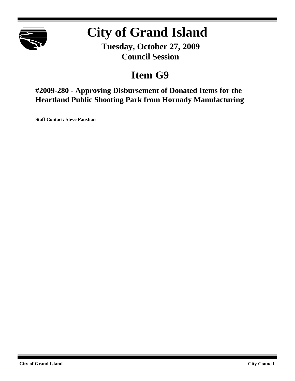

# **City of Grand Island**

**Tuesday, October 27, 2009 Council Session**

# **Item G9**

**#2009-280 - Approving Disbursement of Donated Items for the Heartland Public Shooting Park from Hornady Manufacturing**

**Staff Contact: Steve Paustian**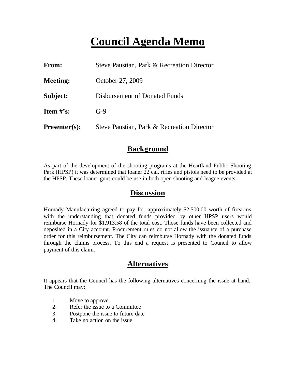# **Council Agenda Memo**

| From:           | Steve Paustian, Park & Recreation Director |
|-----------------|--------------------------------------------|
| <b>Meeting:</b> | October 27, 2009                           |
| Subject:        | Disbursement of Donated Funds              |
| Item $\#$ 's:   | $G-9$                                      |
| $Presenter(s):$ | Steve Paustian, Park & Recreation Director |

#### **Background**

As part of the development of the shooting programs at the Heartland Public Shooting Park (HPSP) it was determined that loaner 22 cal. rifles and pistols need to be provided at the HPSP. These loaner guns could be use in both open shooting and league events.

#### **Discussion**

Hornady Manufacturing agreed to pay for approximately \$2,500.00 worth of firearms with the understanding that donated funds provided by other HPSP users would reimburse Hornady for \$1,913.58 of the total cost. Those funds have been collected and deposited in a City account. Procurement rules do not allow the issuance of a purchase order for this reimbursement. The City can reimburse Hornady with the donated funds through the claims process. To this end a request is presented to Council to allow payment of this claim.

#### **Alternatives**

It appears that the Council has the following alternatives concerning the issue at hand. The Council may:

- 1. Move to approve
- 2. Refer the issue to a Committee
- 3. Postpone the issue to future date
- 4. Take no action on the issue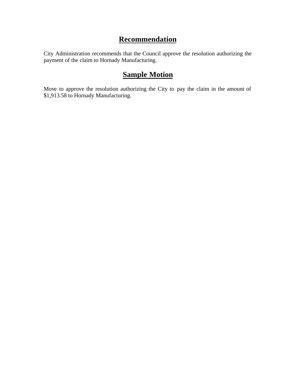### **Recommendation**

City Administration recommends that the Council approve the resolution authorizing the payment of the claim to Hornady Manufacturing.

### **Sample Motion**

Move to approve the resolution authorizing the City to pay the claim in the amount of \$1,913.58 to Hornady Manufacturing.